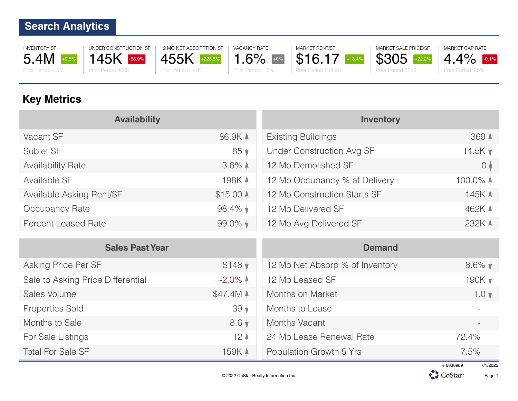INVENTORY SF 5.4M +9.5% Prior Period 4.9M



Properties Sold 39 ↓

12 MO NET ABSORPTION SF 455K +223.5% Prior Period 141K

1.6% Prior Period 1.6%



\$16.17 +13.4% Prior Period \$14.26

MARKET SALE PRICE/SF \$305 +22.2% Prior Period \$250



# **Key Metrics**

| <b>Availability</b>               |                     | <b>Inventory</b>                 |                    |
|-----------------------------------|---------------------|----------------------------------|--------------------|
| Vacant SF                         | 86.9K 4             | <b>Existing Buildings</b>        | 369 4              |
| Sublet SF                         | $85 \downarrow$     | <b>Under Construction Avg SF</b> | $14.5K \;$         |
| <b>Availability Rate</b>          | $3.6\%$ $\uparrow$  | 12 Mo Demolished SF              | $\circ$            |
| Available SF                      | 198K 4              | 12 Mo Occupancy % at Delivery    | 100.0% $\uparrow$  |
| Available Asking Rent/SF          | $$15.00$ $\AA$      | 12 Mo Construction Starts SF     | 145K A             |
| Occupancy Rate                    | $98.4\%$            | 12 Mo Delivered SF               | 462K 4             |
| <b>Percent Leased Rate</b>        | $99.0\%$ $\star$    | 12 Mo Avg Delivered SF           | 232K 4             |
|                                   |                     |                                  |                    |
| <b>Sales Past Year</b>            |                     | <b>Demand</b>                    |                    |
| Asking Price Per SF               | $$148$ $\sqrt{ }$   | 12 Mo Net Absorp % of Inventory  | $8.6\%$ $\sqrt{*}$ |
| Sale to Asking Price Differential | $-2.0\%$ $\uparrow$ | 12 Mo Leased SF                  | 190K $\sqrt{ }$    |
| Sales Volume                      | \$47.4M A           | Months on Market                 | $1.0 \; \text{V}$  |

Months to Sale 8.6  $\sqrt{ }$ For Sale Listings 12 | 12 | Total For Sale SF 159K 4 Months Vacant 24 Mo Lease Renewal Rate 72.4% Population Growth 5 Yrs 7.5%

Months to Lease



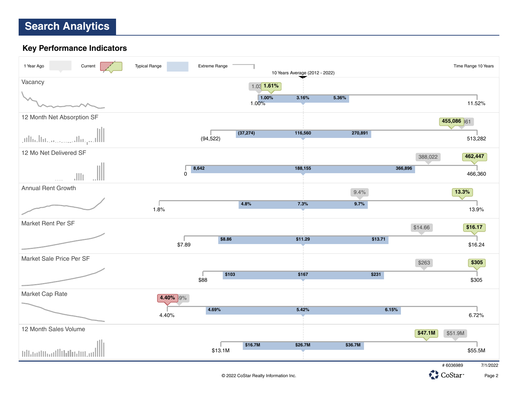#### **Key Performance Indicators**



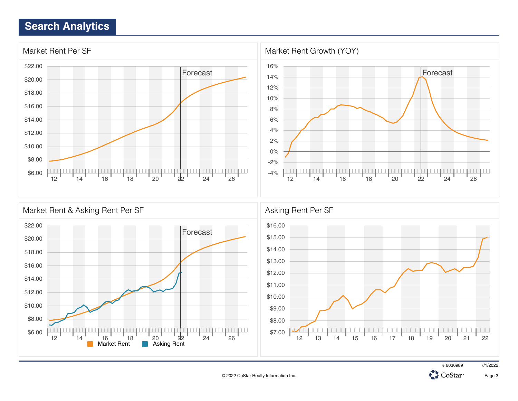





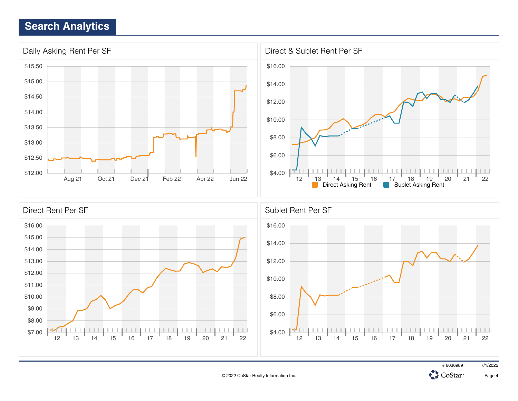



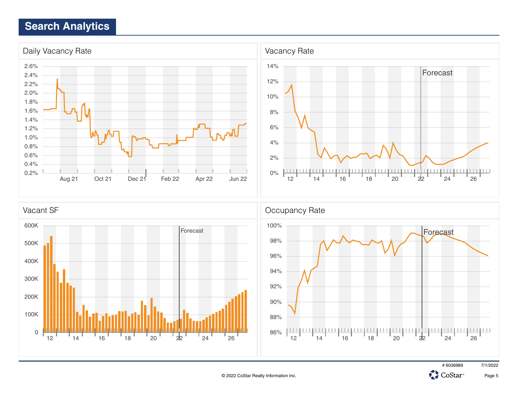



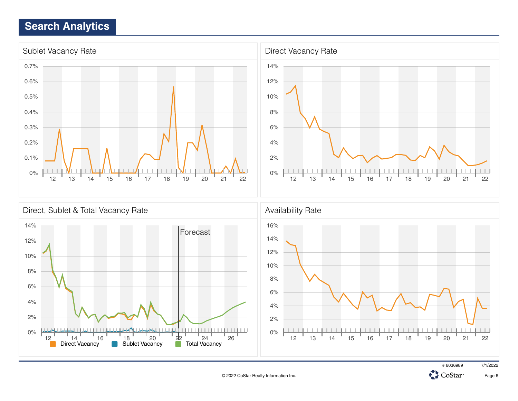



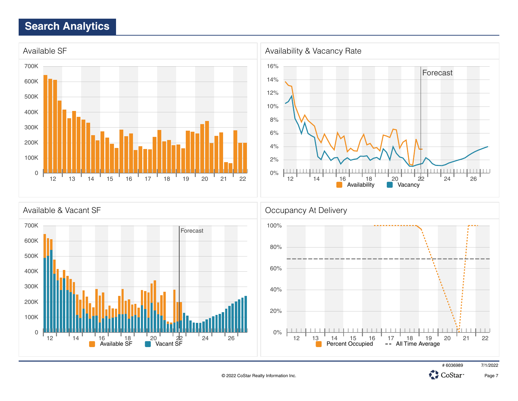





![](_page_6_Picture_5.jpeg)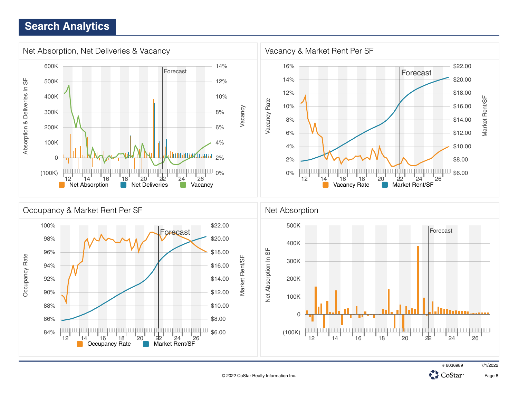![](_page_7_Figure_1.jpeg)

![](_page_7_Picture_2.jpeg)

![](_page_7_Picture_3.jpeg)

![](_page_7_Picture_4.jpeg)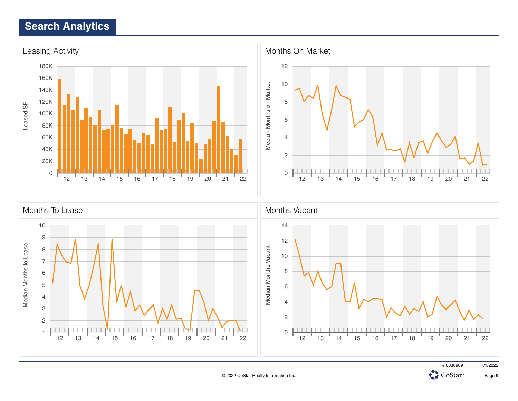![](_page_8_Figure_1.jpeg)

![](_page_8_Picture_3.jpeg)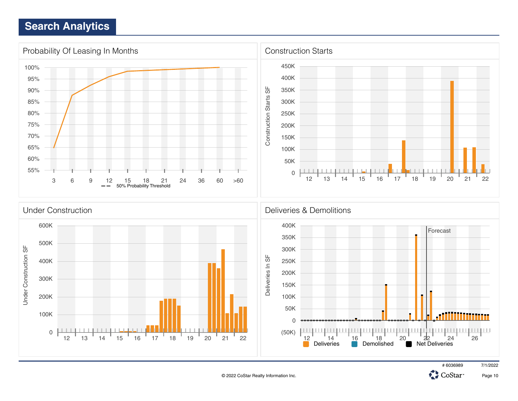![](_page_9_Figure_1.jpeg)

![](_page_9_Picture_3.jpeg)

CoStar<sup>-</sup>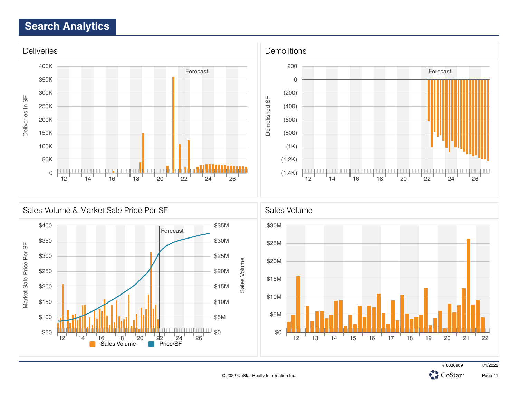![](_page_10_Figure_1.jpeg)

![](_page_10_Figure_2.jpeg)

# 6036989 7/1/2022

CoStar<sup>-</sup>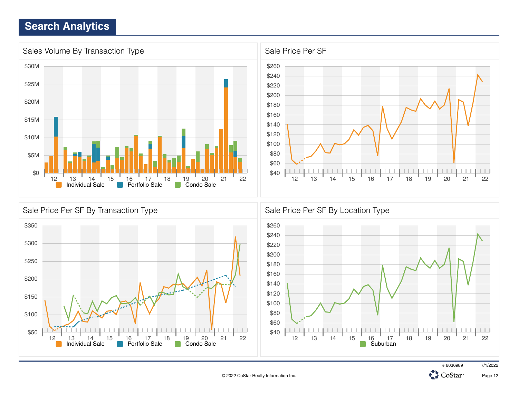![](_page_11_Figure_1.jpeg)

![](_page_11_Figure_2.jpeg)

![](_page_11_Picture_4.jpeg)

![](_page_11_Picture_5.jpeg)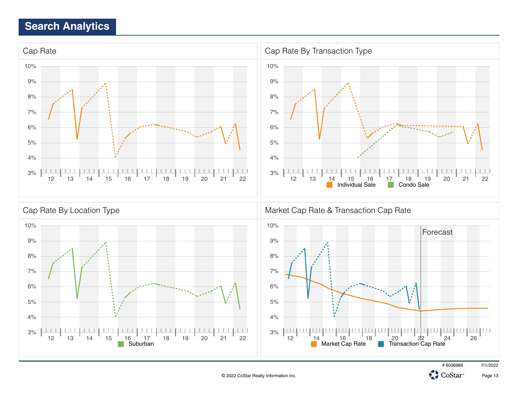![](_page_12_Figure_1.jpeg)

![](_page_12_Picture_3.jpeg)

![](_page_12_Picture_4.jpeg)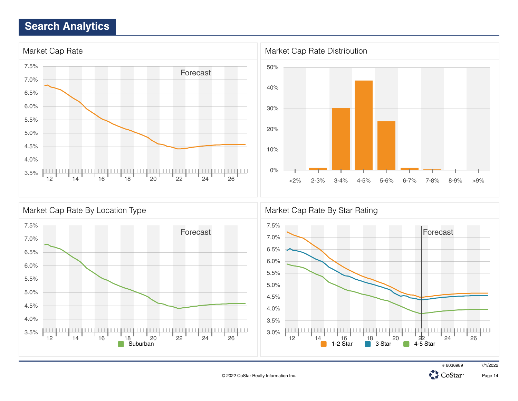![](_page_13_Figure_1.jpeg)

![](_page_13_Figure_2.jpeg)

![](_page_13_Picture_4.jpeg)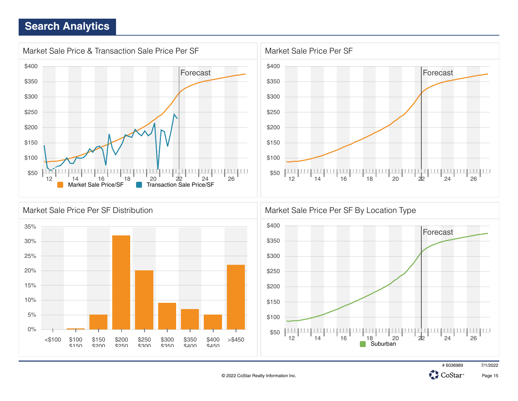![](_page_14_Figure_1.jpeg)

![](_page_14_Figure_2.jpeg)

![](_page_14_Figure_3.jpeg)

# 6036989 7/1/2022

![](_page_14_Picture_5.jpeg)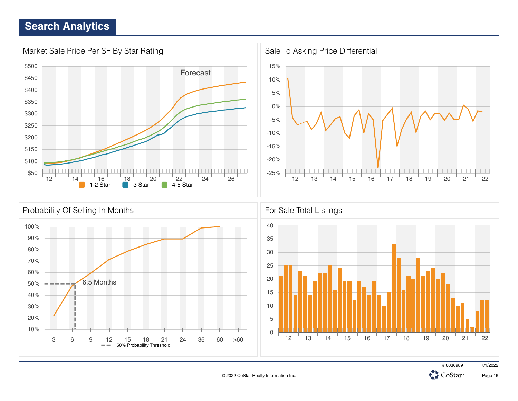![](_page_15_Figure_1.jpeg)

# 6036989 7/1/2022 CoStar<sup>-</sup>

![](_page_15_Picture_4.jpeg)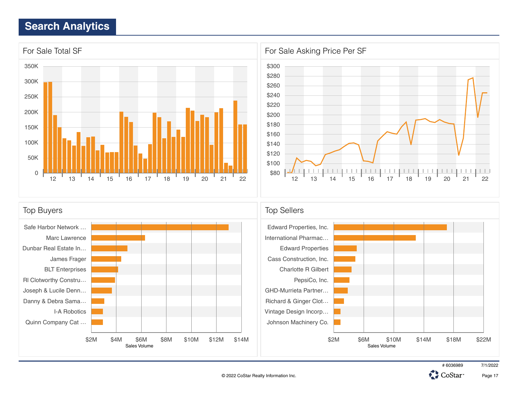![](_page_16_Figure_1.jpeg)

![](_page_16_Figure_2.jpeg)

![](_page_16_Figure_3.jpeg)

![](_page_16_Picture_5.jpeg)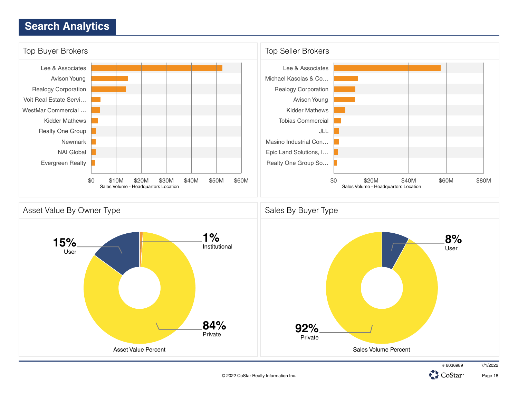![](_page_17_Figure_1.jpeg)

Page 18

CoStar<sup>®</sup>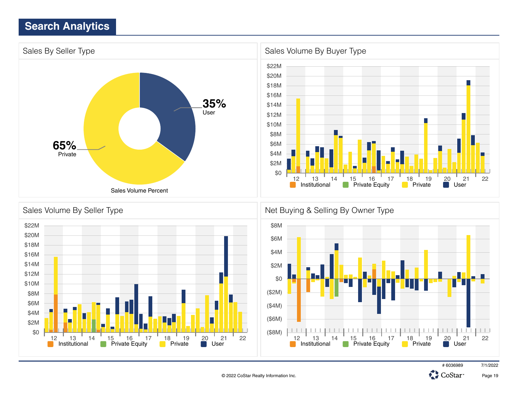![](_page_18_Figure_1.jpeg)

![](_page_18_Figure_2.jpeg)

![](_page_18_Figure_3.jpeg)

![](_page_18_Picture_5.jpeg)

![](_page_18_Picture_6.jpeg)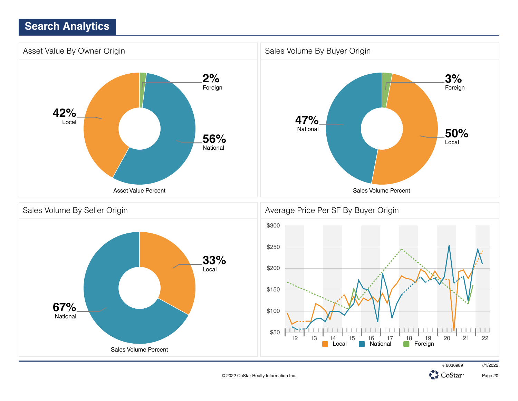![](_page_19_Figure_1.jpeg)

© 2022 CoStar Realty Information Inc.

Page 20

CoStar<sup>®</sup>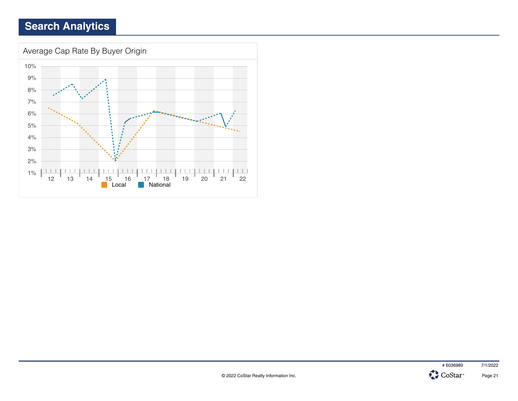![](_page_20_Figure_1.jpeg)

![](_page_20_Picture_2.jpeg)

![](_page_20_Picture_3.jpeg)